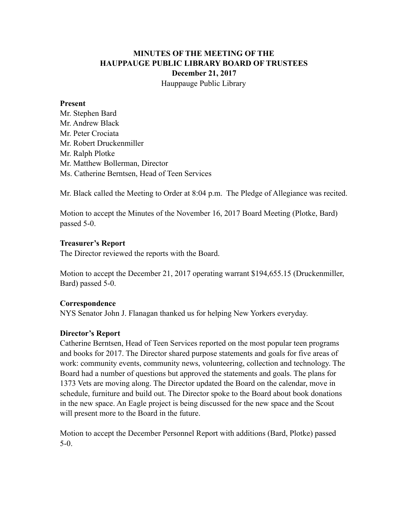### **MINUTES OF THE MEETING OF THE HAUPPAUGE PUBLIC LIBRARY BOARD OF TRUSTEES December 21, 2017** Hauppauge Public Library

#### **Present**

Mr. Stephen Bard Mr. Andrew Black Mr. Peter Crociata Mr. Robert Druckenmiller Mr. Ralph Plotke Mr. Matthew Bollerman, Director Ms. Catherine Berntsen, Head of Teen Services

Mr. Black called the Meeting to Order at 8:04 p.m. The Pledge of Allegiance was recited.

Motion to accept the Minutes of the November 16, 2017 Board Meeting (Plotke, Bard) passed 5-0.

### **Treasurer's Report**

The Director reviewed the reports with the Board.

Motion to accept the December 21, 2017 operating warrant \$194,655.15 (Druckenmiller, Bard) passed 5-0.

### **Correspondence**

NYS Senator John J. Flanagan thanked us for helping New Yorkers everyday.

### **Director's Report**

Catherine Berntsen, Head of Teen Services reported on the most popular teen programs and books for 2017. The Director shared purpose statements and goals for five areas of work: community events, community news, volunteering, collection and technology. The Board had a number of questions but approved the statements and goals. The plans for 1373 Vets are moving along. The Director updated the Board on the calendar, move in schedule, furniture and build out. The Director spoke to the Board about book donations in the new space. An Eagle project is being discussed for the new space and the Scout will present more to the Board in the future.

Motion to accept the December Personnel Report with additions (Bard, Plotke) passed 5-0.